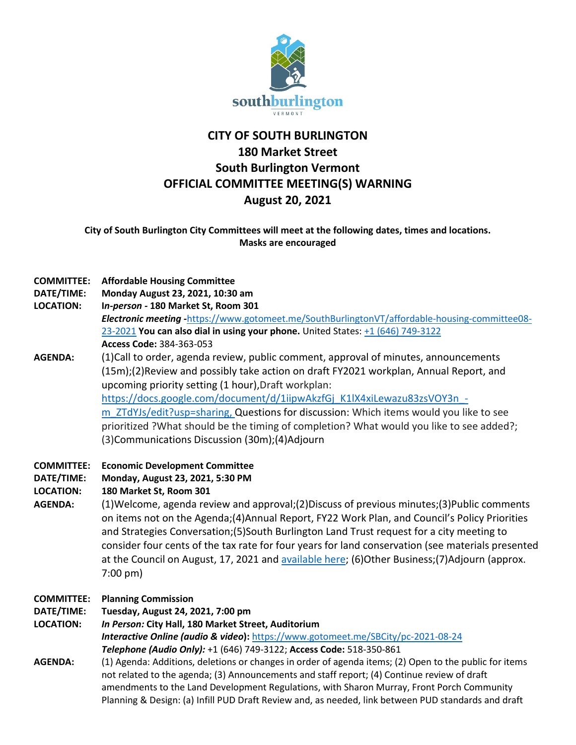

# **CITY OF SOUTH BURLINGTON 180 Market Street South Burlington Vermont OFFICIAL COMMITTEE MEETING(S) WARNING August 20, 2021**

**City of South Burlington City Committees will meet at the following dates, times and locations. Masks are encouraged**

| <b>COMMITTEE:</b><br>DATE/TIME:<br><b>LOCATION:</b>                   | <b>Affordable Housing Committee</b><br>Monday August 23, 2021, 10:30 am<br>In-person - 180 Market St, Room 301<br>Electronic meeting -https://www.gotomeet.me/SouthBurlingtonVT/affordable-housing-committee08-<br>23-2021 You can also dial in using your phone. United States: +1 (646) 749-3122<br>Access Code: 384-363-053                                                                                                                                                                                                                                                                                                     |
|-----------------------------------------------------------------------|------------------------------------------------------------------------------------------------------------------------------------------------------------------------------------------------------------------------------------------------------------------------------------------------------------------------------------------------------------------------------------------------------------------------------------------------------------------------------------------------------------------------------------------------------------------------------------------------------------------------------------|
| <b>AGENDA:</b>                                                        | (1) Call to order, agenda review, public comment, approval of minutes, announcements<br>(15m);(2) Review and possibly take action on draft FY2021 workplan, Annual Report, and<br>upcoming priority setting (1 hour), Draft workplan:<br>https://docs.google.com/document/d/1iipwAkzfGj K1lX4xiLewazu83zsVOY3n -<br>m ZTdYJs/edit?usp=sharing, Questions for discussion: Which items would you like to see<br>prioritized ?What should be the timing of completion? What would you like to see added?;<br>(3) Communications Discussion (30m); (4) Adjourn                                                                         |
| <b>COMMITTEE:</b><br>DATE/TIME:<br><b>LOCATION:</b><br><b>AGENDA:</b> | <b>Economic Development Committee</b><br>Monday, August 23, 2021, 5:30 PM<br>180 Market St, Room 301<br>(1) Welcome, agenda review and approval; (2) Discuss of previous minutes; (3) Public comments<br>on items not on the Agenda; (4) Annual Report, FY22 Work Plan, and Council's Policy Priorities<br>and Strategies Conversation; (5) South Burlington Land Trust request for a city meeting to<br>consider four cents of the tax rate for four years for land conservation (see materials presented<br>at the Council on August, 17, 2021 and available here; (6) Other Business; (7) Adjourn (approx.<br>$7:00 \text{ pm}$ |
| <b>COMMITTEE:</b><br>DATE/TIME:<br><b>LOCATION:</b>                   | <b>Planning Commission</b><br>Tuesday, August 24, 2021, 7:00 pm<br>In Person: City Hall, 180 Market Street, Auditorium<br><b>Interactive Online (audio &amp; video):</b> https://www.gotomeet.me/SBCity/pc-2021-08-24<br>Telephone (Audio Only): +1 (646) 749-3122; Access Code: 518-350-861                                                                                                                                                                                                                                                                                                                                       |
| <b>AGENDA:</b>                                                        | (1) Agenda: Additions, deletions or changes in order of agenda items; (2) Open to the public for items<br>not related to the agenda; (3) Announcements and staff report; (4) Continue review of draft<br>amendments to the Land Development Regulations, with Sharon Murray, Front Porch Community<br>Planning & Design: (a) Infill PUD Draft Review and, as needed, link between PUD standards and draft                                                                                                                                                                                                                          |